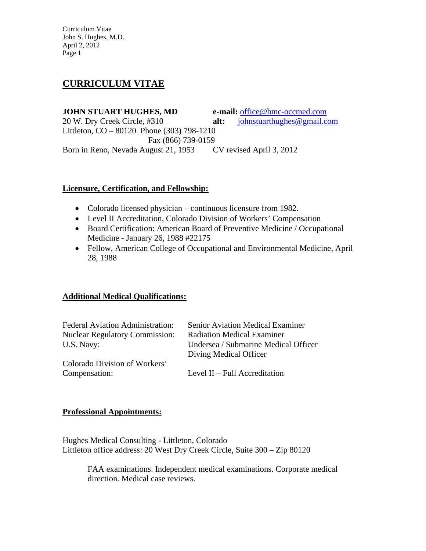# **CURRICULUM VITAE**

**JOHN STUART HUGHES, MD e-mail:** office@hmc-occmed.com 20 W. Dry Creek Circle, #310 **alt:** johnstuarthughes@gmail.com Littleton, CO – 80120 Phone (303) 798-1210 Fax (866) 739-0159 Born in Reno, Nevada August 21, 1953 CV revised April 3, 2012

# **Licensure, Certification, and Fellowship:**

- Colorado licensed physician continuous licensure from 1982.
- Level II Accreditation, Colorado Division of Workers' Compensation
- Board Certification: American Board of Preventive Medicine / Occupational Medicine - January 26, 1988 #22175
- Fellow, American College of Occupational and Environmental Medicine, April 28, 1988

# **Additional Medical Qualifications:**

| <b>Federal Aviation Administration:</b> | <b>Senior Aviation Medical Examiner</b> |
|-----------------------------------------|-----------------------------------------|
| <b>Nuclear Regulatory Commission:</b>   | <b>Radiation Medical Examiner</b>       |
| U.S. Navy:                              | Undersea / Submarine Medical Officer    |
|                                         | Diving Medical Officer                  |
| Colorado Division of Workers'           |                                         |
| Compensation:                           | Level $II$ – Full Accreditation         |

#### **Professional Appointments:**

Hughes Medical Consulting - Littleton, Colorado Littleton office address: 20 West Dry Creek Circle, Suite 300 – Zip 80120

 FAA examinations. Independent medical examinations. Corporate medical direction. Medical case reviews.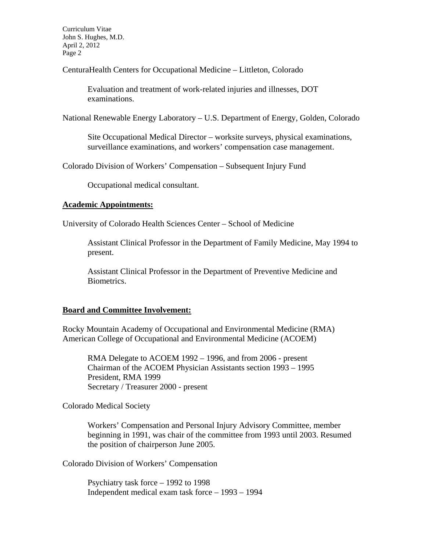CenturaHealth Centers for Occupational Medicine – Littleton, Colorado

 Evaluation and treatment of work-related injuries and illnesses, DOT examinations.

National Renewable Energy Laboratory – U.S. Department of Energy, Golden, Colorado

 Site Occupational Medical Director – worksite surveys, physical examinations, surveillance examinations, and workers' compensation case management.

Colorado Division of Workers' Compensation – Subsequent Injury Fund

Occupational medical consultant.

#### **Academic Appointments:**

University of Colorado Health Sciences Center – School of Medicine

Assistant Clinical Professor in the Department of Family Medicine, May 1994 to present.

Assistant Clinical Professor in the Department of Preventive Medicine and Biometrics.

#### **Board and Committee Involvement:**

Rocky Mountain Academy of Occupational and Environmental Medicine (RMA) American College of Occupational and Environmental Medicine (ACOEM)

RMA Delegate to ACOEM 1992 – 1996, and from 2006 - present Chairman of the ACOEM Physician Assistants section 1993 – 1995 President, RMA 1999 Secretary / Treasurer 2000 - present

Colorado Medical Society

Workers' Compensation and Personal Injury Advisory Committee, member beginning in 1991, was chair of the committee from 1993 until 2003. Resumed the position of chairperson June 2005.

Colorado Division of Workers' Compensation

Psychiatry task force – 1992 to 1998 Independent medical exam task force – 1993 – 1994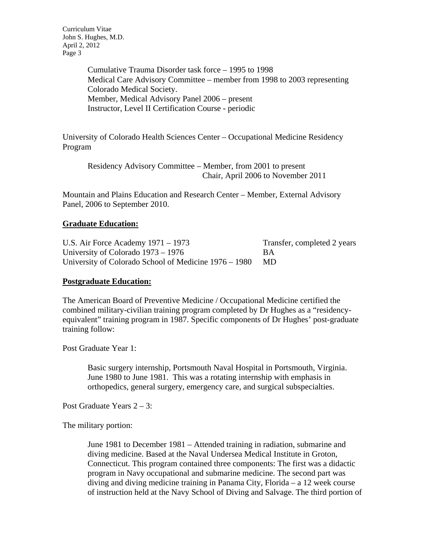> Cumulative Trauma Disorder task force – 1995 to 1998 Medical Care Advisory Committee – member from 1998 to 2003 representing Colorado Medical Society. Member, Medical Advisory Panel 2006 – present Instructor, Level II Certification Course - periodic

University of Colorado Health Sciences Center – Occupational Medicine Residency Program

 Residency Advisory Committee – Member, from 2001 to present Chair, April 2006 to November 2011

Mountain and Plains Education and Research Center – Member, External Advisory Panel, 2006 to September 2010.

## **Graduate Education:**

U.S. Air Force Academy 1971 – 1973 Transfer, completed 2 years University of Colorado 1973 – 1976 BA University of Colorado School of Medicine 1976 – 1980 MD

#### **Postgraduate Education:**

The American Board of Preventive Medicine / Occupational Medicine certified the combined military-civilian training program completed by Dr Hughes as a "residencyequivalent" training program in 1987. Specific components of Dr Hughes' post-graduate training follow:

Post Graduate Year 1:

Basic surgery internship, Portsmouth Naval Hospital in Portsmouth, Virginia. June 1980 to June 1981. This was a rotating internship with emphasis in orthopedics, general surgery, emergency care, and surgical subspecialties.

Post Graduate Years 2 – 3:

The military portion:

June 1981 to December 1981 – Attended training in radiation, submarine and diving medicine. Based at the Naval Undersea Medical Institute in Groton, Connecticut. This program contained three components: The first was a didactic program in Navy occupational and submarine medicine. The second part was diving and diving medicine training in Panama City, Florida – a 12 week course of instruction held at the Navy School of Diving and Salvage. The third portion of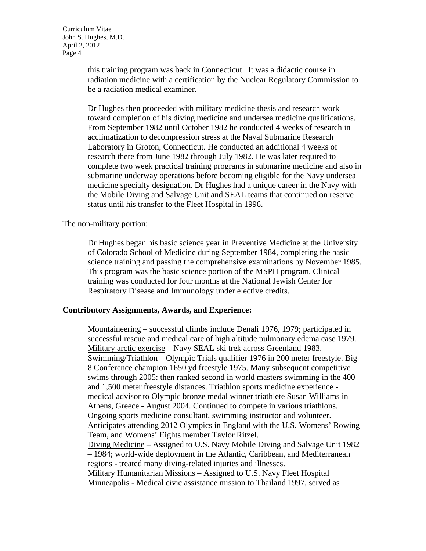this training program was back in Connecticut. It was a didactic course in radiation medicine with a certification by the Nuclear Regulatory Commission to be a radiation medical examiner.

Dr Hughes then proceeded with military medicine thesis and research work toward completion of his diving medicine and undersea medicine qualifications. From September 1982 until October 1982 he conducted 4 weeks of research in acclimatization to decompression stress at the Naval Submarine Research Laboratory in Groton, Connecticut. He conducted an additional 4 weeks of research there from June 1982 through July 1982. He was later required to complete two week practical training programs in submarine medicine and also in submarine underway operations before becoming eligible for the Navy undersea medicine specialty designation. Dr Hughes had a unique career in the Navy with the Mobile Diving and Salvage Unit and SEAL teams that continued on reserve status until his transfer to the Fleet Hospital in 1996.

The non-military portion:

Dr Hughes began his basic science year in Preventive Medicine at the University of Colorado School of Medicine during September 1984, completing the basic science training and passing the comprehensive examinations by November 1985. This program was the basic science portion of the MSPH program. Clinical training was conducted for four months at the National Jewish Center for Respiratory Disease and Immunology under elective credits.

#### **Contributory Assignments, Awards, and Experience:**

 Mountaineering – successful climbs include Denali 1976, 1979; participated in successful rescue and medical care of high altitude pulmonary edema case 1979. Military arctic exercise – Navy SEAL ski trek across Greenland 1983. Swimming/Triathlon – Olympic Trials qualifier 1976 in 200 meter freestyle. Big 8 Conference champion 1650 yd freestyle 1975. Many subsequent competitive swims through 2005: then ranked second in world masters swimming in the 400 and 1,500 meter freestyle distances. Triathlon sports medicine experience medical advisor to Olympic bronze medal winner triathlete Susan Williams in Athens, Greece - August 2004. Continued to compete in various triathlons. Ongoing sports medicine consultant, swimming instructor and volunteer. Anticipates attending 2012 Olympics in England with the U.S. Womens' Rowing Team, and Womens' Eights member Taylor Ritzel. Diving Medicine – Assigned to U.S. Navy Mobile Diving and Salvage Unit 1982 – 1984; world-wide deployment in the Atlantic, Caribbean, and Mediterranean regions - treated many diving-related injuries and illnesses. Military Humanitarian Missions – Assigned to U.S. Navy Fleet Hospital Minneapolis - Medical civic assistance mission to Thailand 1997, served as